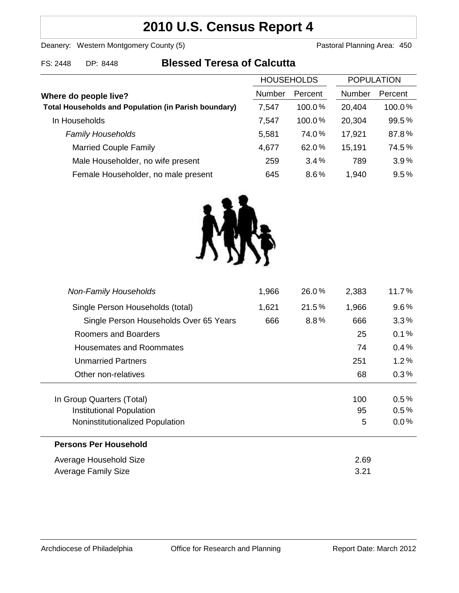# **2010 U.S. Census Report 4**

Deanery: Western Montgomery County (5) Deanery: Western Montgomery County (5)

FS: 2448 DP: 8448 **Blessed Teresa of Calcutta**

| <b>HOUSEHOLDS</b> |           | <b>POPULATION</b> |         |
|-------------------|-----------|-------------------|---------|
| Number            | Percent   | Number            | Percent |
| 7,547             | $100.0\%$ | 20,404            | 100.0%  |
| 7,547             | 100.0%    | 20,304            | 99.5%   |
| 5,581             | 74.0%     | 17,921            | 87.8%   |
| 4,677             | 62.0%     | 15,191            | 74.5%   |
| 259               | 3.4%      | 789               | 3.9%    |
| 645               | 8.6%      | 1,940             | 9.5%    |
|                   |           |                   |         |



| <b>Non-Family Households</b>           | 1,966 | 26.0%   | 2,383 | 11.7%   |
|----------------------------------------|-------|---------|-------|---------|
| Single Person Households (total)       | 1,621 | 21.5%   | 1,966 | $9.6\%$ |
| Single Person Households Over 65 Years | 666   | $8.8\%$ | 666   | $3.3\%$ |
| Roomers and Boarders                   |       |         | 25    | 0.1%    |
| Housemates and Roommates               |       |         | 74    | $0.4\%$ |
| <b>Unmarried Partners</b>              |       |         | 251   | 1.2%    |
| Other non-relatives                    |       |         | 68    | $0.3\%$ |
|                                        |       |         |       |         |
| In Group Quarters (Total)              |       |         | 100   | 0.5%    |
| Institutional Population               |       |         | 95    | 0.5%    |
| Noninstitutionalized Population        |       |         | 5     | $0.0\%$ |
| <b>Persons Per Household</b>           |       |         |       |         |
| Average Household Size                 |       |         | 2.69  |         |
| Average Family Size                    |       |         | 3.21  |         |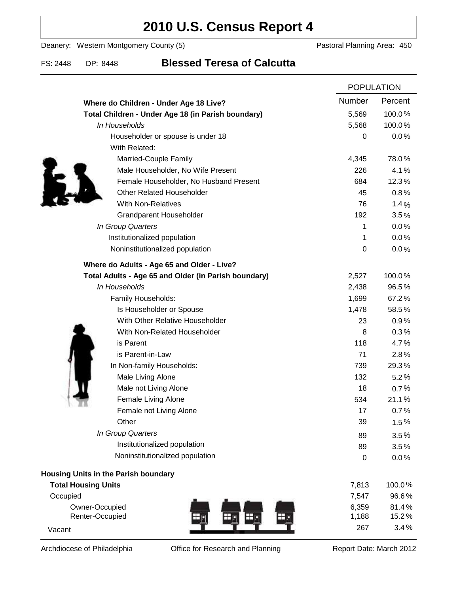# **2010 U.S. Census Report 4**

Deanery: Western Montgomery County (5) Deanery: Western Montgomery County (5)

### FS: 2448 DP: 8448 **Blessed Teresa of Calcutta**

|                                                      |        | <b>POPULATION</b> |  |
|------------------------------------------------------|--------|-------------------|--|
| Where do Children - Under Age 18 Live?               | Number | Percent           |  |
| Total Children - Under Age 18 (in Parish boundary)   | 5,569  | 100.0%            |  |
| In Households                                        | 5,568  | 100.0%            |  |
| Householder or spouse is under 18                    | 0      | 0.0%              |  |
| With Related:                                        |        |                   |  |
| Married-Couple Family                                | 4,345  | 78.0%             |  |
| Male Householder, No Wife Present                    | 226    | 4.1%              |  |
| Female Householder, No Husband Present               | 684    | 12.3%             |  |
| <b>Other Related Householder</b>                     | 45     | 0.8%              |  |
| <b>With Non-Relatives</b>                            | 76     | 1.4%              |  |
| Grandparent Householder                              | 192    | 3.5%              |  |
| In Group Quarters                                    | 1      | 0.0%              |  |
| Institutionalized population                         | 1      | 0.0%              |  |
| Noninstitutionalized population                      | 0      | 0.0%              |  |
| Where do Adults - Age 65 and Older - Live?           |        |                   |  |
| Total Adults - Age 65 and Older (in Parish boundary) | 2,527  | 100.0%            |  |
| In Households                                        | 2,438  | 96.5%             |  |
| Family Households:                                   | 1,699  | 67.2%             |  |
| Is Householder or Spouse                             | 1,478  | 58.5%             |  |
| With Other Relative Householder                      | 23     | 0.9%              |  |
| With Non-Related Householder                         | 8      | 0.3%              |  |
| is Parent                                            | 118    | 4.7%              |  |
| is Parent-in-Law                                     | 71     | 2.8%              |  |
| In Non-family Households:                            | 739    | 29.3%             |  |
| Male Living Alone                                    | 132    | 5.2%              |  |
| Male not Living Alone                                | 18     | 0.7%              |  |
| Female Living Alone                                  | 534    | 21.1%             |  |
| Female not Living Alone                              | 17     | 0.7%              |  |
| Other                                                | 39     | 1.5%              |  |
| In Group Quarters                                    | 89     | 3.5%              |  |
| Institutionalized population                         | 89     | 3.5%              |  |
| Noninstitutionalized population                      | 0      | 0.0%              |  |
| Housing Units in the Parish boundary                 |        |                   |  |
| <b>Total Housing Units</b>                           | 7,813  | 100.0%            |  |
| Occupied                                             | 7,547  | 96.6%             |  |
| Owner-Occupied                                       | 6,359  | 81.4%             |  |
| Renter-Occupied                                      | 1,188  | 15.2%             |  |
| Vacant                                               | 267    | 3.4%              |  |

Archdiocese of Philadelphia **Office for Research and Planning** Report Date: March 2012